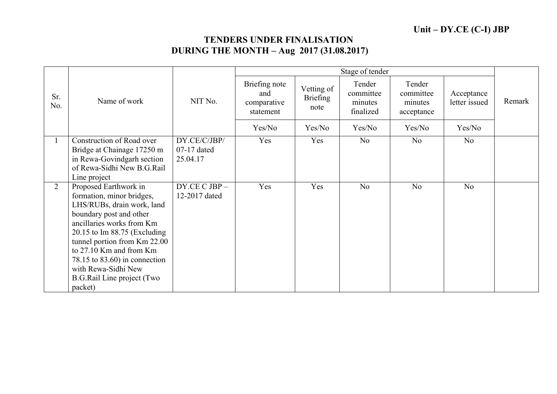## TENDERS UNDER FINALISATION DURING THE MONTH – Aug 2017 (31.08.2017)

|                |                                                                                                                                                                                                                                                                                                                                               |                                         | Stage of tender                                  |                                       |                                             |                                              |                             |        |
|----------------|-----------------------------------------------------------------------------------------------------------------------------------------------------------------------------------------------------------------------------------------------------------------------------------------------------------------------------------------------|-----------------------------------------|--------------------------------------------------|---------------------------------------|---------------------------------------------|----------------------------------------------|-----------------------------|--------|
| Sr.<br>No.     | Name of work                                                                                                                                                                                                                                                                                                                                  | NIT No.                                 | Briefing note<br>and<br>comparative<br>statement | Vetting of<br><b>Briefing</b><br>note | Tender<br>committee<br>minutes<br>finalized | Tender<br>committee<br>minutes<br>acceptance | Acceptance<br>letter issued | Remark |
|                |                                                                                                                                                                                                                                                                                                                                               |                                         | Yes/No                                           | Yes/No                                | Yes/No                                      | Yes/No                                       | Yes/No                      |        |
|                | Construction of Road over<br>Bridge at Chainage 17250 m<br>in Rewa-Govindgarh section<br>of Rewa-Sidhi New B.G.Rail<br>Line project                                                                                                                                                                                                           | DY.CE/C/JBP/<br>07-17 dated<br>25.04.17 | Yes                                              | Yes                                   | N <sub>o</sub>                              | N <sub>o</sub>                               | N <sub>o</sub>              |        |
| $\overline{2}$ | Proposed Earthwork in<br>formation, minor bridges,<br>LHS/RUBs, drain work, land<br>boundary post and other<br>ancillaries works from Km<br>$20.15$ to Im 88.75 (Excluding<br>tunnel portion from Km 22.00<br>to 27.10 Km and from Km<br>78.15 to 83.60) in connection<br>with Rewa-Sidhi New<br><b>B.G.Rail Line project (Two</b><br>packet) | DY.CE C JBP-<br>12-2017 dated           | Yes                                              | Yes                                   | N <sub>o</sub>                              | No                                           | N <sub>o</sub>              |        |